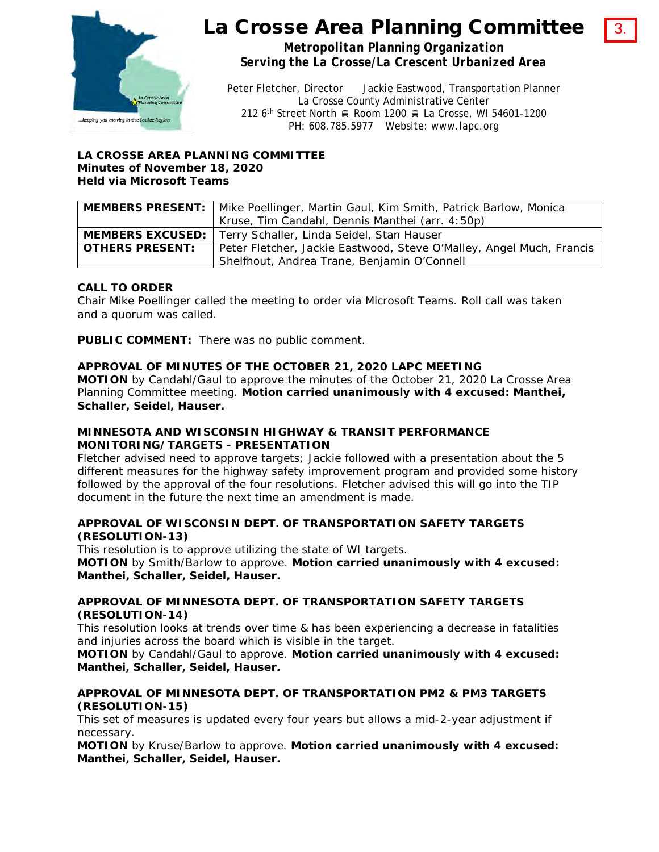

# La Crosse Area Planning Committee

3.

*Metropolitan Planning Organization Serving the La Crosse/La Crescent Urbanized Area*

Peter Fletcher, Director Jackie Eastwood, Transportation Planner La Crosse County Administrative Center 212 6<sup>th</sup> Street North Room 1200 R La Crosse, WI 54601-1200 PH: 608.785.5977 Website: www.lapc.org

#### **LA CROSSE AREA PLANNING COMMITTEE Minutes of November 18, 2020 Held via Microsoft Teams**

|                        | <b>MEMBERS PRESENT:</b>   Mike Poellinger, Martin Gaul, Kim Smith, Patrick Barlow, Monica |
|------------------------|-------------------------------------------------------------------------------------------|
|                        | Kruse, Tim Candahl, Dennis Manthei (arr. 4:50p)                                           |
|                        | <b>MEMBERS EXCUSED:</b>   Terry Schaller, Linda Seidel, Stan Hauser                       |
| <b>OTHERS PRESENT:</b> | Peter Fletcher, Jackie Eastwood, Steve O'Malley, Angel Much, Francis                      |
|                        | Shelfhout, Andrea Trane, Benjamin O'Connell                                               |

## **CALL TO ORDER**

Chair Mike Poellinger called the meeting to order via Microsoft Teams. Roll call was taken and a quorum was called.

**PUBLIC COMMENT:** There was no public comment.

#### **APPROVAL OF MINUTES OF THE OCTOBER 21, 2020 LAPC MEETING**

**MOTION** by Candahl/Gaul to approve the minutes of the October 21, 2020 La Crosse Area Planning Committee meeting. **Motion carried unanimously with 4 excused: Manthei, Schaller, Seidel, Hauser.**

#### **MINNESOTA AND WISCONSIN HIGHWAY & TRANSIT PERFORMANCE MONITORING/TARGETS - PRESENTATION**

Fletcher advised need to approve targets; Jackie followed with a presentation about the 5 different measures for the highway safety improvement program and provided some history followed by the approval of the four resolutions. Fletcher advised this will go into the TIP document in the future the next time an amendment is made.

#### **APPROVAL OF WISCONSIN DEPT. OF TRANSPORTATION SAFETY TARGETS (RESOLUTION-13)**

This resolution is to approve utilizing the state of WI targets. **MOTION** by Smith/Barlow to approve. **Motion carried unanimously with 4 excused:** 

**Manthei, Schaller, Seidel, Hauser.**

#### **APPROVAL OF MINNESOTA DEPT. OF TRANSPORTATION SAFETY TARGETS (RESOLUTION-14)**

This resolution looks at trends over time & has been experiencing a decrease in fatalities and injuries across the board which is visible in the target.

**MOTION** by Candahl/Gaul to approve. **Motion carried unanimously with 4 excused: Manthei, Schaller, Seidel, Hauser.**

#### **APPROVAL OF MINNESOTA DEPT. OF TRANSPORTATION PM2 & PM3 TARGETS (RESOLUTION-15)**

This set of measures is updated every four years but allows a mid-2-year adjustment if necessary.

**MOTION** by Kruse/Barlow to approve. **Motion carried unanimously with 4 excused: Manthei, Schaller, Seidel, Hauser.**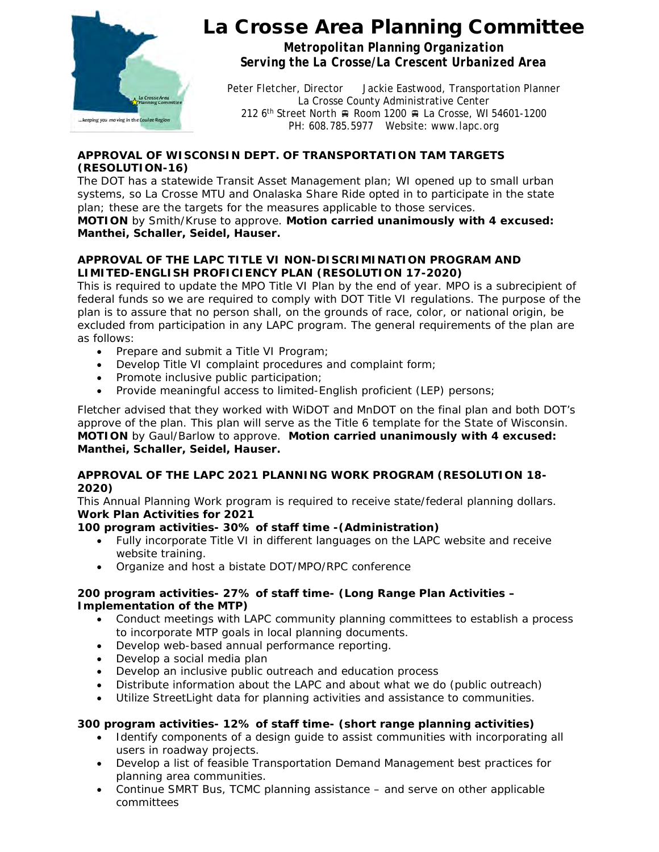

# La Crosse Area Planning Committee

*Metropolitan Planning Organization Serving the La Crosse/La Crescent Urbanized Area*

Peter Fletcher, Director Jackie Eastwood, Transportation Planner La Crosse County Administrative Center 212 6<sup>th</sup> Street North A Room 1200 A La Crosse, WI 54601-1200 PH: 608.785.5977 Website: www.lapc.org

## **APPROVAL OF WISCONSIN DEPT. OF TRANSPORTATION TAM TARGETS (RESOLUTION-16)**

The DOT has a statewide Transit Asset Management plan; WI opened up to small urban systems, so La Crosse MTU and Onalaska Share Ride opted in to participate in the state plan; these are the targets for the measures applicable to those services. **MOTION** by Smith/Kruse to approve. **Motion carried unanimously with 4 excused: Manthei, Schaller, Seidel, Hauser.**

## **APPROVAL OF THE LAPC TITLE VI NON-DISCRIMINATION PROGRAM AND LIMITED-ENGLISH PROFICIENCY PLAN (RESOLUTION 17-2020)**

This is required to update the MPO Title VI Plan by the end of year. MPO is a subrecipient of federal funds so we are required to comply with DOT Title VI regulations. The purpose of the plan is to assure that no person shall, on the grounds of race, color, or national origin, be excluded from participation in any LAPC program. The general requirements of the plan are as follows:

- Prepare and submit a Title VI Program;
- Develop Title VI complaint procedures and complaint form;
- Promote inclusive public participation;
- Provide meaningful access to limited-English proficient (LEP) persons;

Fletcher advised that they worked with WiDOT and MnDOT on the final plan and both DOT's approve of the plan. This plan will serve as the Title 6 template for the State of Wisconsin. **MOTION** by Gaul/Barlow to approve. **Motion carried unanimously with 4 excused: Manthei, Schaller, Seidel, Hauser.**

## **APPROVAL OF THE LAPC 2021 PLANNING WORK PROGRAM (RESOLUTION 18- 2020)**

This Annual Planning Work program is required to receive state/federal planning dollars. **Work Plan Activities for 2021**

## **100 program activities- 30% of staff time -(Administration)**

- Fully incorporate Title VI in different languages on the LAPC website and receive website training.
- Organize and host a bistate DOT/MPO/RPC conference

## **200 program activities- 27% of staff time- (Long Range Plan Activities – Implementation of the MTP)**

- Conduct meetings with LAPC community planning committees to establish a process to incorporate MTP goals in local planning documents.
- Develop web-based annual performance reporting.
- Develop a social media plan
- Develop an inclusive public outreach and education process
- Distribute information about the LAPC and about what we do (public outreach)
- Utilize StreetLight data for planning activities and assistance to communities.

## **300 program activities- 12% of staff time- (short range planning activities)**

- Identify components of a design guide to assist communities with incorporating all users in roadway projects.
- Develop a list of feasible Transportation Demand Management best practices for planning area communities.
- Continue SMRT Bus, TCMC planning assistance and serve on other applicable committees